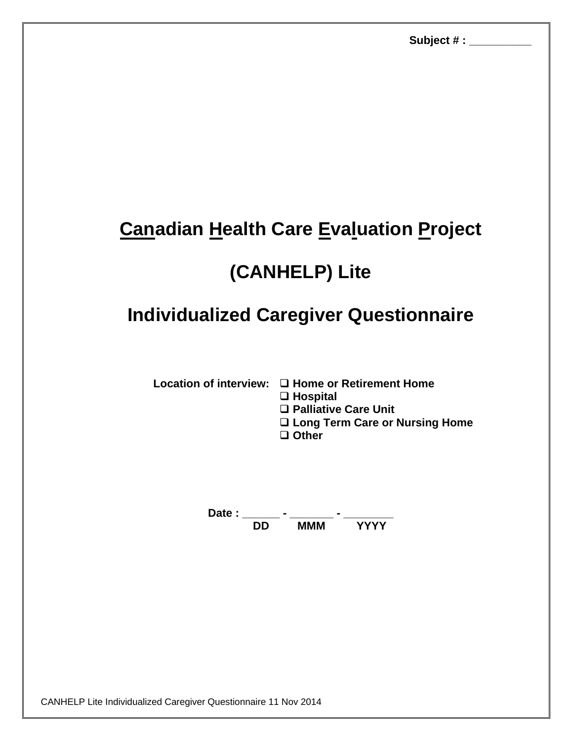## **Canadian Health Care Evaluation Project**

## **(CANHELP) Lite**

## **Individualized Caregiver Questionnaire**

- Location of interview: □ Home or Retirement Home
	- **Hospital**
	- **Palliative Care Unit**
	- **Long Term Care or Nursing Home**
	- **Other**

**Date : \_\_\_\_\_\_ - \_\_\_\_\_\_\_ - \_\_\_\_\_\_\_\_ MMM**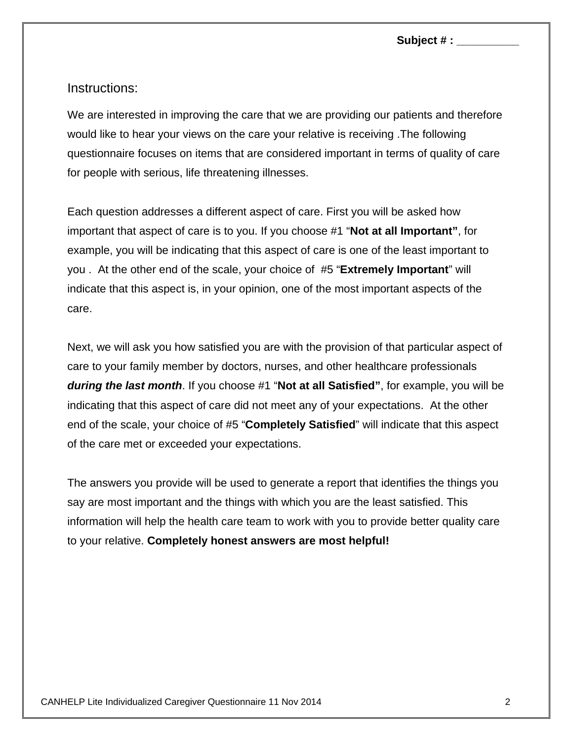**Subject # : \_\_\_\_\_\_\_\_\_\_**

Instructions:

We are interested in improving the care that we are providing our patients and therefore would like to hear your views on the care your relative is receiving .The following questionnaire focuses on items that are considered important in terms of quality of care for people with serious, life threatening illnesses.

Each question addresses a different aspect of care. First you will be asked how important that aspect of care is to you. If you choose #1 "**Not at all Important"**, for example, you will be indicating that this aspect of care is one of the least important to you . At the other end of the scale, your choice of #5 "**Extremely Important**" will indicate that this aspect is, in your opinion, one of the most important aspects of the care.

Next, we will ask you how satisfied you are with the provision of that particular aspect of care to your family member by doctors, nurses, and other healthcare professionals *during the last month*. If you choose #1 "**Not at all Satisfied"**, for example, you will be indicating that this aspect of care did not meet any of your expectations. At the other end of the scale, your choice of #5 "**Completely Satisfied**" will indicate that this aspect of the care met or exceeded your expectations.

The answers you provide will be used to generate a report that identifies the things you say are most important and the things with which you are the least satisfied. This information will help the health care team to work with you to provide better quality care to your relative. **Completely honest answers are most helpful!**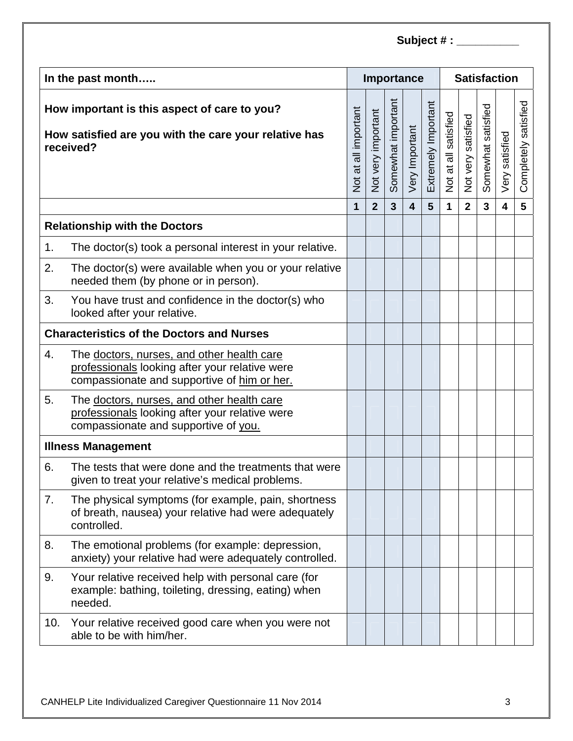| In the past month                                                                                                  |                                                                                                                                             |                      |                    |                    | Importance              |                     | <b>Satisfaction</b>  |                    |                    |                         |                         |
|--------------------------------------------------------------------------------------------------------------------|---------------------------------------------------------------------------------------------------------------------------------------------|----------------------|--------------------|--------------------|-------------------------|---------------------|----------------------|--------------------|--------------------|-------------------------|-------------------------|
| How important is this aspect of care to you?<br>How satisfied are you with the care your relative has<br>received? |                                                                                                                                             | Not at all important | Not very important | Somewhat important | Very Important          | Extremely Important | Not at all satisfied | Not very satisfied | Somewhat satisfied | Very satisfied          | satisfied<br>Completely |
|                                                                                                                    |                                                                                                                                             | $\mathbf{1}$         | $\overline{2}$     | $\overline{3}$     | $\overline{\mathbf{4}}$ | 5                   | 1                    | $\mathbf{2}$       | $\overline{3}$     | $\overline{\mathbf{4}}$ | 5                       |
| <b>Relationship with the Doctors</b>                                                                               |                                                                                                                                             |                      |                    |                    |                         |                     |                      |                    |                    |                         |                         |
| 1.                                                                                                                 | The doctor(s) took a personal interest in your relative.                                                                                    |                      |                    |                    |                         |                     |                      |                    |                    |                         |                         |
| 2.                                                                                                                 | The doctor(s) were available when you or your relative<br>needed them (by phone or in person).                                              |                      |                    |                    |                         |                     |                      |                    |                    |                         |                         |
| 3.                                                                                                                 | You have trust and confidence in the doctor(s) who<br>looked after your relative.                                                           |                      |                    |                    |                         |                     |                      |                    |                    |                         |                         |
| <b>Characteristics of the Doctors and Nurses</b>                                                                   |                                                                                                                                             |                      |                    |                    |                         |                     |                      |                    |                    |                         |                         |
| 4.                                                                                                                 | The doctors, nurses, and other health care<br>professionals looking after your relative were<br>compassionate and supportive of him or her. |                      |                    |                    |                         |                     |                      |                    |                    |                         |                         |
| 5.                                                                                                                 | The doctors, nurses, and other health care<br>professionals looking after your relative were<br>compassionate and supportive of you.        |                      |                    |                    |                         |                     |                      |                    |                    |                         |                         |
| <b>Illness Management</b>                                                                                          |                                                                                                                                             |                      |                    |                    |                         |                     |                      |                    |                    |                         |                         |
| 6.                                                                                                                 | The tests that were done and the treatments that were<br>given to treat your relative's medical problems.                                   |                      |                    |                    |                         |                     |                      |                    |                    |                         |                         |
| 7.                                                                                                                 | The physical symptoms (for example, pain, shortness<br>of breath, nausea) your relative had were adequately<br>controlled.                  |                      |                    |                    |                         |                     |                      |                    |                    |                         |                         |
| 8.                                                                                                                 | The emotional problems (for example: depression,<br>anxiety) your relative had were adequately controlled.                                  |                      |                    |                    |                         |                     |                      |                    |                    |                         |                         |
| 9.                                                                                                                 | Your relative received help with personal care (for<br>example: bathing, toileting, dressing, eating) when<br>needed.                       |                      |                    |                    |                         |                     |                      |                    |                    |                         |                         |
| 10.                                                                                                                | Your relative received good care when you were not<br>able to be with him/her.                                                              |                      |                    |                    |                         |                     |                      |                    |                    |                         |                         |